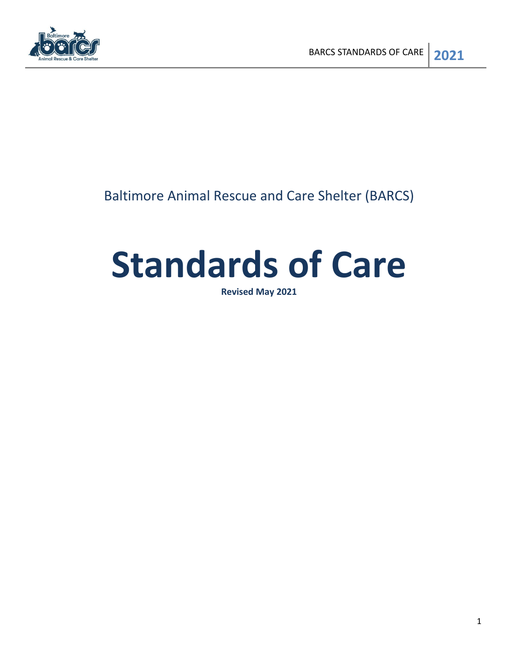

## Baltimore Animal Rescue and Care Shelter (BARCS)

# **Standards of Care**

**Revised May 2021**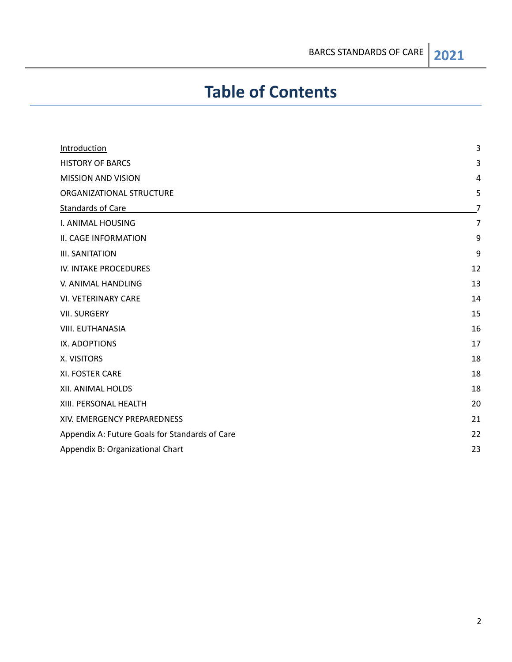## **Table of Contents**

| Introduction                                   | 3  |
|------------------------------------------------|----|
| <b>HISTORY OF BARCS</b>                        | 3  |
| <b>MISSION AND VISION</b>                      | 4  |
| ORGANIZATIONAL STRUCTURE                       | 5  |
| <b>Standards of Care</b>                       | 7  |
| I. ANIMAL HOUSING                              | 7  |
| II. CAGE INFORMATION                           | 9  |
| <b>III. SANITATION</b>                         | 9  |
| IV. INTAKE PROCEDURES                          | 12 |
| V. ANIMAL HANDLING                             | 13 |
| <b>VI. VETERINARY CARE</b>                     | 14 |
| <b>VII. SURGERY</b>                            | 15 |
| <b>VIII. EUTHANASIA</b>                        | 16 |
| IX. ADOPTIONS                                  | 17 |
| X. VISITORS                                    | 18 |
| XI. FOSTER CARE                                | 18 |
| XII. ANIMAL HOLDS                              | 18 |
| XIII. PERSONAL HEALTH                          | 20 |
| XIV. EMERGENCY PREPAREDNESS                    | 21 |
| Appendix A: Future Goals for Standards of Care | 22 |
| Appendix B: Organizational Chart               | 23 |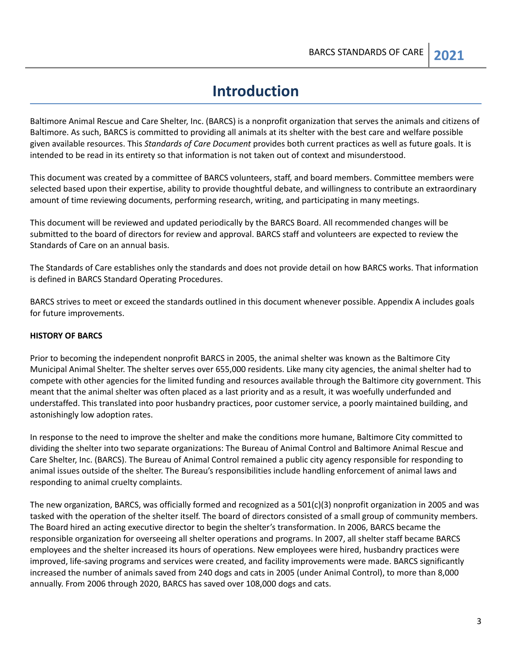## **Introduction**

<span id="page-2-0"></span>Baltimore Animal Rescue and Care Shelter, Inc. (BARCS) is a nonprofit organization that serves the animals and citizens of Baltimore. As such, BARCS is committed to providing all animals at its shelter with the best care and welfare possible given available resources. This *Standards of Care Document* provides both current practices as well as future goals. It is intended to be read in its entirety so that information is not taken out of context and misunderstood.

This document was created by a committee of BARCS volunteers, staff, and board members. Committee members were selected based upon their expertise, ability to provide thoughtful debate, and willingness to contribute an extraordinary amount of time reviewing documents, performing research, writing, and participating in many meetings.

This document will be reviewed and updated periodically by the BARCS Board. All recommended changes will be submitted to the board of directors for review and approval. BARCS staff and volunteers are expected to review the Standards of Care on an annual basis.

The Standards of Care establishes only the standards and does not provide detail on how BARCS works. That information is defined in BARCS Standard Operating Procedures.

BARCS strives to meet or exceed the standards outlined in this document whenever possible. Appendix A includes goals for future improvements.

#### <span id="page-2-1"></span>**HISTORY OF BARCS**

Prior to becoming the independent nonprofit BARCS in 2005, the animal shelter was known as the Baltimore City Municipal Animal Shelter. The shelter serves over 655,000 residents. Like many city agencies, the animal shelter had to compete with other agencies for the limited funding and resources available through the Baltimore city government. This meant that the animal shelter was often placed as a last priority and as a result, it was woefully underfunded and understaffed. This translated into poor husbandry practices, poor customer service, a poorly maintained building, and astonishingly low adoption rates.

In response to the need to improve the shelter and make the conditions more humane, Baltimore City committed to dividing the shelter into two separate organizations: The Bureau of Animal Control and Baltimore Animal Rescue and Care Shelter, Inc. (BARCS). The Bureau of Animal Control remained a public city agency responsible for responding to animal issues outside of the shelter. The Bureau's responsibilities include handling enforcement of animal laws and responding to animal cruelty complaints.

The new organization, BARCS, was officially formed and recognized as a 501(c)(3) nonprofit organization in 2005 and was tasked with the operation of the shelter itself. The board of directors consisted of a small group of community members. The Board hired an acting executive director to begin the shelter's transformation. In 2006, BARCS became the responsible organization for overseeing all shelter operations and programs. In 2007, all shelter staff became BARCS employees and the shelter increased its hours of operations. New employees were hired, husbandry practices were improved, life-saving programs and services were created, and facility improvements were made. BARCS significantly increased the number of animals saved from 240 dogs and cats in 2005 (under Animal Control), to more than 8,000 annually. From 2006 through 2020, BARCS has saved over 108,000 dogs and cats.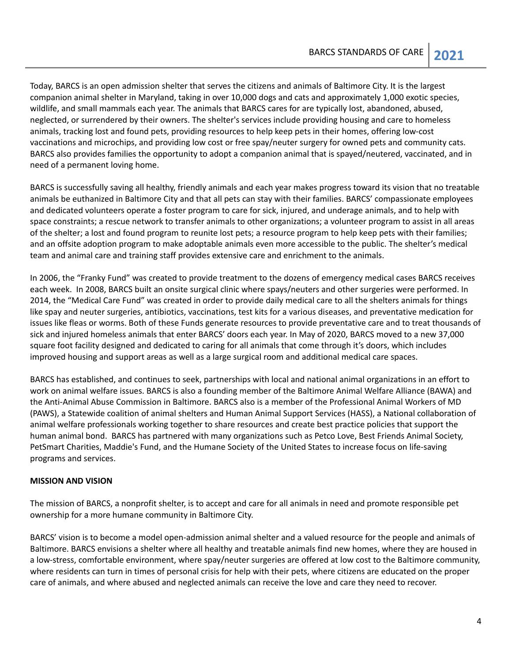Today, BARCS is an open admission shelter that serves the citizens and animals of Baltimore City. It is the largest companion animal shelter in Maryland, taking in over 10,000 dogs and cats and approximately 1,000 exotic species, wildlife, and small mammals each year. The animals that BARCS cares for are typically lost, abandoned, abused, neglected, or surrendered by their owners. The shelter's services include providing housing and care to homeless animals, tracking lost and found pets, providing resources to help keep pets in their homes, offering low-cost vaccinations and microchips, and providing low cost or free spay/neuter surgery for owned pets and community cats. BARCS also provides families the opportunity to adopt a companion animal that is spayed/neutered, vaccinated, and in need of a permanent loving home.

BARCS is successfully saving all healthy, friendly animals and each year makes progress toward its vision that no treatable animals be euthanized in Baltimore City and that all pets can stay with their families. BARCS' compassionate employees and dedicated volunteers operate a foster program to care for sick, injured, and underage animals, and to help with space constraints; a rescue network to transfer animals to other organizations; a volunteer program to assist in all areas of the shelter; a lost and found program to reunite lost pets; a resource program to help keep pets with their families; and an offsite adoption program to make adoptable animals even more accessible to the public. The shelter's medical team and animal care and training staff provides extensive care and enrichment to the animals.

In 2006, the "Franky Fund" was created to provide treatment to the dozens of emergency medical cases BARCS receives each week. In 2008, BARCS built an onsite surgical clinic where spays/neuters and other surgeries were performed. In 2014, the "Medical Care Fund" was created in order to provide daily medical care to all the shelters animals for things like spay and neuter surgeries, antibiotics, vaccinations, test kits for a various diseases, and preventative medication for issues like fleas or worms. Both of these Funds generate resources to provide preventative care and to treat thousands of sick and injured homeless animals that enter BARCS' doors each year. In May of 2020, BARCS moved to a new 37,000 square foot facility designed and dedicated to caring for all animals that come through it's doors, which includes improved housing and support areas as well as a large surgical room and additional medical care spaces.

BARCS has established, and continues to seek, partnerships with local and national animal organizations in an effort to work on animal welfare issues. BARCS is also a founding member of the Baltimore Animal Welfare Alliance (BAWA) and the Anti-Animal Abuse Commission in Baltimore. BARCS also is a member of the Professional Animal Workers of MD (PAWS), a Statewide coalition of animal shelters and Human Animal Support Services (HASS), a National collaboration of animal welfare professionals working together to share resources and create best practice policies that support the human animal bond. BARCS has partnered with many organizations such as Petco Love, Best Friends Animal Society, PetSmart Charities, Maddie's Fund, and the Humane Society of the United States to increase focus on life-saving programs and services.

#### <span id="page-3-0"></span>**MISSION AND VISION**

The mission of BARCS, a nonprofit shelter, is to accept and care for all animals in need and promote responsible pet ownership for a more humane community in Baltimore City.

BARCS' vision is to become a model open-admission animal shelter and a valued resource for the people and animals of Baltimore. BARCS envisions a shelter where all healthy and treatable animals find new homes, where they are housed in a low-stress, comfortable environment, where spay/neuter surgeries are offered at low cost to the Baltimore community, where residents can turn in times of personal crisis for help with their pets, where citizens are educated on the proper care of animals, and where abused and neglected animals can receive the love and care they need to recover.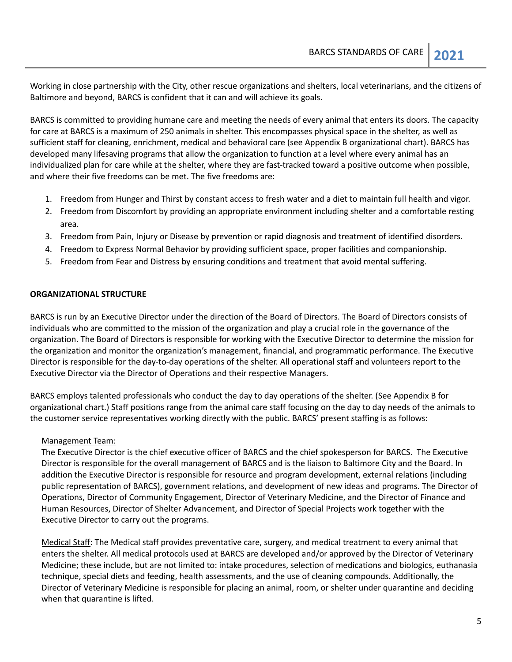Working in close partnership with the City, other rescue organizations and shelters, local veterinarians, and the citizens of Baltimore and beyond, BARCS is confident that it can and will achieve its goals.

BARCS is committed to providing humane care and meeting the needs of every animal that enters its doors. The capacity for care at BARCS is a maximum of 250 animals in shelter. This encompasses physical space in the shelter, as well as sufficient staff for cleaning, enrichment, medical and behavioral care (see Appendix B organizational chart). BARCS has developed many lifesaving programs that allow the organization to function at a level where every animal has an individualized plan for care while at the shelter, where they are fast-tracked toward a positive outcome when possible, and where their five freedoms can be met. The five freedoms are:

- 1. Freedom from Hunger and Thirst by constant access to fresh water and a diet to maintain full health and vigor.
- 2. Freedom from Discomfort by providing an appropriate environment including shelter and a comfortable resting area.
- 3. Freedom from Pain, Injury or Disease by prevention or rapid diagnosis and treatment of identified disorders.
- 4. Freedom to Express Normal Behavior by providing sufficient space, proper facilities and companionship.
- 5. Freedom from Fear and Distress by ensuring conditions and treatment that avoid mental suffering.

#### <span id="page-4-0"></span>**ORGANIZATIONAL STRUCTURE**

BARCS is run by an Executive Director under the direction of the Board of Directors. The Board of Directors consists of individuals who are committed to the mission of the organization and play a crucial role in the governance of the organization. The Board of Directors is responsible for working with the Executive Director to determine the mission for the organization and monitor the organization's management, financial, and programmatic performance. The Executive Director is responsible for the day-to-day operations of the shelter. All operational staff and volunteers report to the Executive Director via the Director of Operations and their respective Managers.

BARCS employs talented professionals who conduct the day to day operations of the shelter. (See Appendix B for organizational chart.) Staff positions range from the animal care staff focusing on the day to day needs of the animals to the customer service representatives working directly with the public. BARCS' present staffing is as follows:

#### Management Team:

The Executive Director is the chief executive officer of BARCS and the chief spokesperson for BARCS. The Executive Director is responsible for the overall management of BARCS and is the liaison to Baltimore City and the Board. In addition the Executive Director is responsible for resource and program development, external relations (including public representation of BARCS), government relations, and development of new ideas and programs. The Director of Operations, Director of Community Engagement, Director of Veterinary Medicine, and the Director of Finance and Human Resources, Director of Shelter Advancement, and Director of Special Projects work together with the Executive Director to carry out the programs.

Medical Staff: The Medical staff provides preventative care, surgery, and medical treatment to every animal that enters the shelter. All medical protocols used at BARCS are developed and/or approved by the Director of Veterinary Medicine; these include, but are not limited to: intake procedures, selection of medications and biologics, euthanasia technique, special diets and feeding, health assessments, and the use of cleaning compounds. Additionally, the Director of Veterinary Medicine is responsible for placing an animal, room, or shelter under quarantine and deciding when that quarantine is lifted.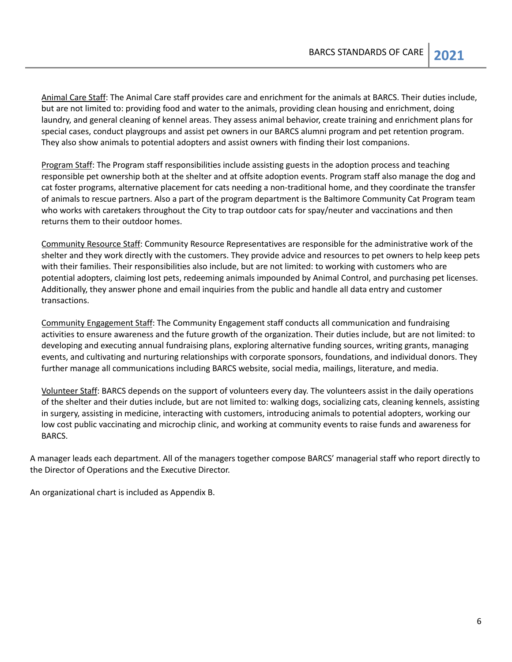Animal Care Staff: The Animal Care staff provides care and enrichment for the animals at BARCS. Their duties include, but are not limited to: providing food and water to the animals, providing clean housing and enrichment, doing laundry, and general cleaning of kennel areas. They assess animal behavior, create training and enrichment plans for special cases, conduct playgroups and assist pet owners in our BARCS alumni program and pet retention program. They also show animals to potential adopters and assist owners with finding their lost companions.

Program Staff: The Program staff responsibilities include assisting guests in the adoption process and teaching responsible pet ownership both at the shelter and at offsite adoption events. Program staff also manage the dog and cat foster programs, alternative placement for cats needing a non-traditional home, and they coordinate the transfer of animals to rescue partners. Also a part of the program department is the Baltimore Community Cat Program team who works with caretakers throughout the City to trap outdoor cats for spay/neuter and vaccinations and then returns them to their outdoor homes.

Community Resource Staff: Community Resource Representatives are responsible for the administrative work of the shelter and they work directly with the customers. They provide advice and resources to pet owners to help keep pets with their families. Their responsibilities also include, but are not limited: to working with customers who are potential adopters, claiming lost pets, redeeming animals impounded by Animal Control, and purchasing pet licenses. Additionally, they answer phone and email inquiries from the public and handle all data entry and customer transactions.

Community Engagement Staff: The Community Engagement staff conducts all communication and fundraising activities to ensure awareness and the future growth of the organization. Their duties include, but are not limited: to developing and executing annual fundraising plans, exploring alternative funding sources, writing grants, managing events, and cultivating and nurturing relationships with corporate sponsors, foundations, and individual donors. They further manage all communications including BARCS website, social media, mailings, literature, and media.

Volunteer Staff: BARCS depends on the support of volunteers every day. The volunteers assist in the daily operations of the shelter and their duties include, but are not limited to: walking dogs, socializing cats, cleaning kennels, assisting in surgery, assisting in medicine, interacting with customers, introducing animals to potential adopters, working our low cost public vaccinating and microchip clinic, and working at community events to raise funds and awareness for BARCS.

A manager leads each department. All of the managers together compose BARCS' managerial staff who report directly to the Director of Operations and the Executive Director.

An organizational chart is included as Appendix B.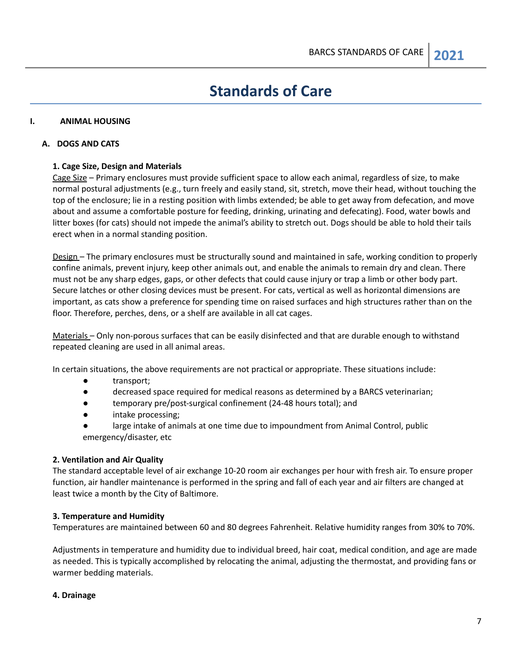## **Standards of Care**

#### <span id="page-6-1"></span><span id="page-6-0"></span>**I. ANIMAL HOUSING**

#### **A. DOGS AND CATS**

#### **1. Cage Size, Design and Materials**

Cage Size – Primary enclosures must provide sufficient space to allow each animal, regardless of size, to make normal postural adjustments (e.g., turn freely and easily stand, sit, stretch, move their head, without touching the top of the enclosure; lie in a resting position with limbs extended; be able to get away from defecation, and move about and assume a comfortable posture for feeding, drinking, urinating and defecating). Food, water bowls and litter boxes (for cats) should not impede the animal's ability to stretch out. Dogs should be able to hold their tails erect when in a normal standing position.

Design – The primary enclosures must be structurally sound and maintained in safe, working condition to properly confine animals, prevent injury, keep other animals out, and enable the animals to remain dry and clean. There must not be any sharp edges, gaps, or other defects that could cause injury or trap a limb or other body part. Secure latches or other closing devices must be present. For cats, vertical as well as horizontal dimensions are important, as cats show a preference for spending time on raised surfaces and high structures rather than on the floor. Therefore, perches, dens, or a shelf are available in all cat cages.

Materials – Only non-porous surfaces that can be easily disinfected and that are durable enough to withstand repeated cleaning are used in all animal areas.

In certain situations, the above requirements are not practical or appropriate. These situations include:

- transport;
- decreased space required for medical reasons as determined by a BARCS veterinarian;
- temporary pre/post-surgical confinement (24-48 hours total); and
- intake processing;
- large intake of animals at one time due to impoundment from Animal Control, public emergency/disaster, etc

#### **2. Ventilation and Air Quality**

The standard acceptable level of air exchange 10-20 room air exchanges per hour with fresh air. To ensure proper function, air handler maintenance is performed in the spring and fall of each year and air filters are changed at least twice a month by the City of Baltimore.

#### **3. Temperature and Humidity**

Temperatures are maintained between 60 and 80 degrees Fahrenheit. Relative humidity ranges from 30% to 70%.

Adjustments in temperature and humidity due to individual breed, hair coat, medical condition, and age are made as needed. This is typically accomplished by relocating the animal, adjusting the thermostat, and providing fans or warmer bedding materials.

#### **4. Drainage**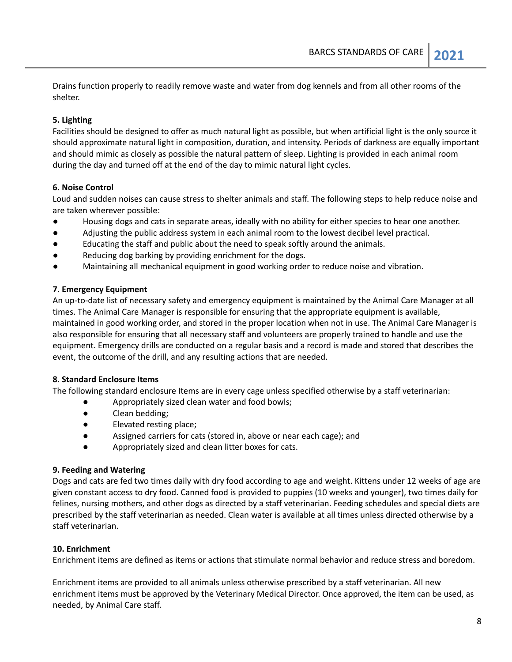Drains function properly to readily remove waste and water from dog kennels and from all other rooms of the shelter.

#### **5. Lighting**

Facilities should be designed to offer as much natural light as possible, but when artificial light is the only source it should approximate natural light in composition, duration, and intensity. Periods of darkness are equally important and should mimic as closely as possible the natural pattern of sleep. Lighting is provided in each animal room during the day and turned off at the end of the day to mimic natural light cycles.

#### **6. Noise Control**

Loud and sudden noises can cause stress to shelter animals and staff. The following steps to help reduce noise and are taken wherever possible:

- Housing dogs and cats in separate areas, ideally with no ability for either species to hear one another.
- Adjusting the public address system in each animal room to the lowest decibel level practical.
- Educating the staff and public about the need to speak softly around the animals.
- Reducing dog barking by providing enrichment for the dogs.
- Maintaining all mechanical equipment in good working order to reduce noise and vibration.

#### **7. Emergency Equipment**

An up-to-date list of necessary safety and emergency equipment is maintained by the Animal Care Manager at all times. The Animal Care Manager is responsible for ensuring that the appropriate equipment is available, maintained in good working order, and stored in the proper location when not in use. The Animal Care Manager is also responsible for ensuring that all necessary staff and volunteers are properly trained to handle and use the equipment. Emergency drills are conducted on a regular basis and a record is made and stored that describes the event, the outcome of the drill, and any resulting actions that are needed.

#### **8. Standard Enclosure Items**

The following standard enclosure Items are in every cage unless specified otherwise by a staff veterinarian:

- Appropriately sized clean water and food bowls;
- Clean bedding;
- Elevated resting place;
- Assigned carriers for cats (stored in, above or near each cage); and
- Appropriately sized and clean litter boxes for cats.

#### **9. Feeding and Watering**

Dogs and cats are fed two times daily with dry food according to age and weight. Kittens under 12 weeks of age are given constant access to dry food. Canned food is provided to puppies (10 weeks and younger), two times daily for felines, nursing mothers, and other dogs as directed by a staff veterinarian. Feeding schedules and special diets are prescribed by the staff veterinarian as needed. Clean water is available at all times unless directed otherwise by a staff veterinarian.

### **10. Enrichment**

Enrichment items are defined as items or actions that stimulate normal behavior and reduce stress and boredom.

Enrichment items are provided to all animals unless otherwise prescribed by a staff veterinarian. All new enrichment items must be approved by the Veterinary Medical Director. Once approved, the item can be used, as needed, by Animal Care staff.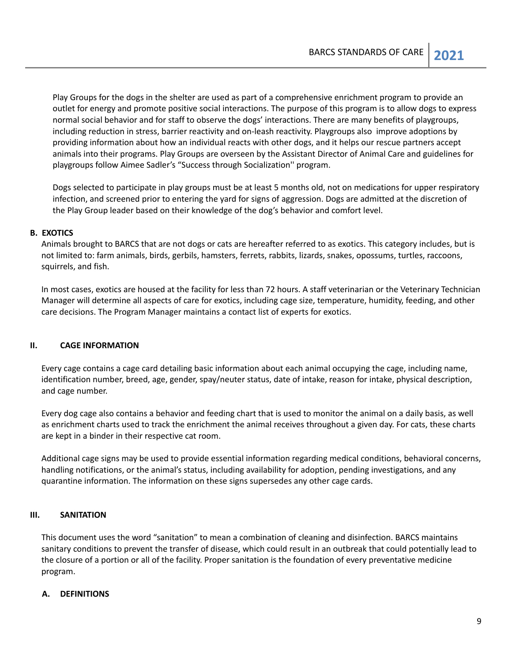Play Groups for the dogs in the shelter are used as part of a comprehensive enrichment program to provide an outlet for energy and promote positive social interactions. The purpose of this program is to allow dogs to express normal social behavior and for staff to observe the dogs' interactions. There are many benefits of playgroups, including reduction in stress, barrier reactivity and on-leash reactivity. Playgroups also improve adoptions by providing information about how an individual reacts with other dogs, and it helps our rescue partners accept animals into their programs. Play Groups are overseen by the Assistant Director of Animal Care and guidelines for playgroups follow Aimee Sadler's "Success through Socialization'' program.

Dogs selected to participate in play groups must be at least 5 months old, not on medications for upper respiratory infection, and screened prior to entering the yard for signs of aggression. Dogs are admitted at the discretion of the Play Group leader based on their knowledge of the dog's behavior and comfort level.

#### **B. EXOTICS**

Animals brought to BARCS that are not dogs or cats are hereafter referred to as exotics. This category includes, but is not limited to: farm animals, birds, gerbils, hamsters, ferrets, rabbits, lizards, snakes, opossums, turtles, raccoons, squirrels, and fish.

In most cases, exotics are housed at the facility for less than 72 hours. A staff veterinarian or the Veterinary Technician Manager will determine all aspects of care for exotics, including cage size, temperature, humidity, feeding, and other care decisions. The Program Manager maintains a contact list of experts for exotics.

#### <span id="page-8-0"></span>**II. CAGE INFORMATION**

Every cage contains a cage card detailing basic information about each animal occupying the cage, including name, identification number, breed, age, gender, spay/neuter status, date of intake, reason for intake, physical description, and cage number.

Every dog cage also contains a behavior and feeding chart that is used to monitor the animal on a daily basis, as well as enrichment charts used to track the enrichment the animal receives throughout a given day. For cats, these charts are kept in a binder in their respective cat room.

Additional cage signs may be used to provide essential information regarding medical conditions, behavioral concerns, handling notifications, or the animal's status, including availability for adoption, pending investigations, and any quarantine information. The information on these signs supersedes any other cage cards.

#### <span id="page-8-1"></span>**III. SANITATION**

This document uses the word "sanitation" to mean a combination of cleaning and disinfection. BARCS maintains sanitary conditions to prevent the transfer of disease, which could result in an outbreak that could potentially lead to the closure of a portion or all of the facility. Proper sanitation is the foundation of every preventative medicine program.

#### **A. DEFINITIONS**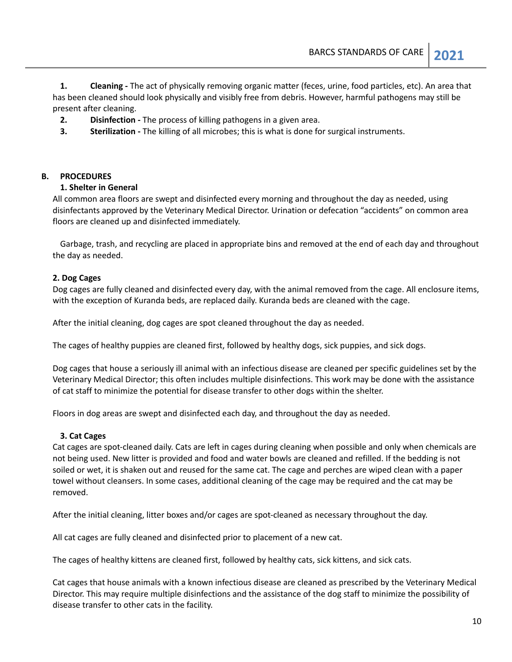**1. Cleaning -** The act of physically removing organic matter (feces, urine, food particles, etc). An area that has been cleaned should look physically and visibly free from debris. However, harmful pathogens may still be present after cleaning.

- **2. Disinfection -** The process of killing pathogens in a given area.
- **3. Sterilization -** The killing of all microbes; this is what is done for surgical instruments.

#### **B. PROCEDURES**

#### **1. Shelter in General**

All common area floors are swept and disinfected every morning and throughout the day as needed, using disinfectants approved by the Veterinary Medical Director. Urination or defecation "accidents" on common area floors are cleaned up and disinfected immediately.

Garbage, trash, and recycling are placed in appropriate bins and removed at the end of each day and throughout the day as needed.

#### **2. Dog Cages**

Dog cages are fully cleaned and disinfected every day, with the animal removed from the cage. All enclosure items, with the exception of Kuranda beds, are replaced daily. Kuranda beds are cleaned with the cage.

After the initial cleaning, dog cages are spot cleaned throughout the day as needed.

The cages of healthy puppies are cleaned first, followed by healthy dogs, sick puppies, and sick dogs.

Dog cages that house a seriously ill animal with an infectious disease are cleaned per specific guidelines set by the Veterinary Medical Director; this often includes multiple disinfections. This work may be done with the assistance of cat staff to minimize the potential for disease transfer to other dogs within the shelter.

Floors in dog areas are swept and disinfected each day, and throughout the day as needed.

#### **3. Cat Cages**

Cat cages are spot-cleaned daily. Cats are left in cages during cleaning when possible and only when chemicals are not being used. New litter is provided and food and water bowls are cleaned and refilled. If the bedding is not soiled or wet, it is shaken out and reused for the same cat. The cage and perches are wiped clean with a paper towel without cleansers. In some cases, additional cleaning of the cage may be required and the cat may be removed.

After the initial cleaning, litter boxes and/or cages are spot-cleaned as necessary throughout the day.

All cat cages are fully cleaned and disinfected prior to placement of a new cat.

The cages of healthy kittens are cleaned first, followed by healthy cats, sick kittens, and sick cats.

Cat cages that house animals with a known infectious disease are cleaned as prescribed by the Veterinary Medical Director. This may require multiple disinfections and the assistance of the dog staff to minimize the possibility of disease transfer to other cats in the facility.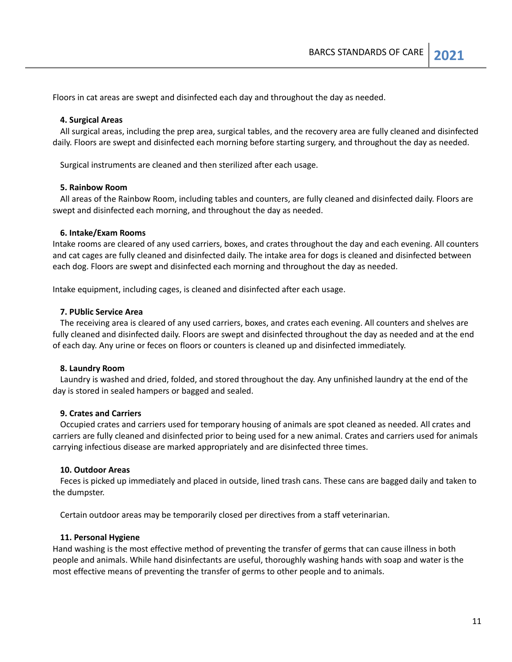Floors in cat areas are swept and disinfected each day and throughout the day as needed.

#### **4. Surgical Areas**

All surgical areas, including the prep area, surgical tables, and the recovery area are fully cleaned and disinfected daily. Floors are swept and disinfected each morning before starting surgery, and throughout the day as needed.

Surgical instruments are cleaned and then sterilized after each usage.

#### **5. Rainbow Room**

All areas of the Rainbow Room, including tables and counters, are fully cleaned and disinfected daily. Floors are swept and disinfected each morning, and throughout the day as needed.

#### **6. Intake/Exam Rooms**

Intake rooms are cleared of any used carriers, boxes, and crates throughout the day and each evening. All counters and cat cages are fully cleaned and disinfected daily. The intake area for dogs is cleaned and disinfected between each dog. Floors are swept and disinfected each morning and throughout the day as needed.

Intake equipment, including cages, is cleaned and disinfected after each usage.

#### **7. PUblic Service Area**

The receiving area is cleared of any used carriers, boxes, and crates each evening. All counters and shelves are fully cleaned and disinfected daily. Floors are swept and disinfected throughout the day as needed and at the end of each day. Any urine or feces on floors or counters is cleaned up and disinfected immediately.

#### **8. Laundry Room**

Laundry is washed and dried, folded, and stored throughout the day. Any unfinished laundry at the end of the day is stored in sealed hampers or bagged and sealed.

#### **9. Crates and Carriers**

Occupied crates and carriers used for temporary housing of animals are spot cleaned as needed. All crates and carriers are fully cleaned and disinfected prior to being used for a new animal. Crates and carriers used for animals carrying infectious disease are marked appropriately and are disinfected three times.

#### **10. Outdoor Areas**

Feces is picked up immediately and placed in outside, lined trash cans. These cans are bagged daily and taken to the dumpster.

Certain outdoor areas may be temporarily closed per directives from a staff veterinarian.

#### **11. Personal Hygiene**

Hand washing is the most effective method of preventing the transfer of germs that can cause illness in both people and animals. While hand disinfectants are useful, thoroughly washing hands with soap and water is the most effective means of preventing the transfer of germs to other people and to animals.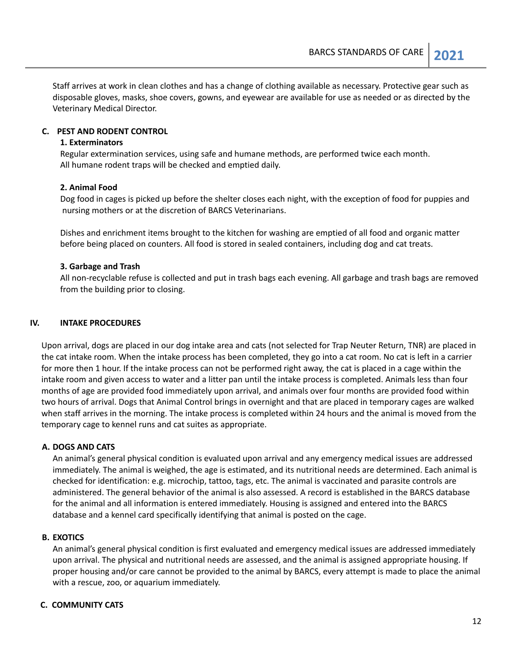Staff arrives at work in clean clothes and has a change of clothing available as necessary. Protective gear such as disposable gloves, masks, shoe covers, gowns, and eyewear are available for use as needed or as directed by the Veterinary Medical Director.

#### **C. PEST AND RODENT CONTROL**

#### **1. Exterminators**

Regular extermination services, using safe and humane methods, are performed twice each month. All humane rodent traps will be checked and emptied daily.

#### **2. Animal Food**

Dog food in cages is picked up before the shelter closes each night, with the exception of food for puppies and nursing mothers or at the discretion of BARCS Veterinarians.

Dishes and enrichment items brought to the kitchen for washing are emptied of all food and organic matter before being placed on counters. All food is stored in sealed containers, including dog and cat treats.

#### **3. Garbage and Trash**

All non-recyclable refuse is collected and put in trash bags each evening. All garbage and trash bags are removed from the building prior to closing.

#### <span id="page-11-0"></span>**IV. INTAKE PROCEDURES**

Upon arrival, dogs are placed in our dog intake area and cats (not selected for Trap Neuter Return, TNR) are placed in the cat intake room. When the intake process has been completed, they go into a cat room. No cat is left in a carrier for more then 1 hour. If the intake process can not be performed right away, the cat is placed in a cage within the intake room and given access to water and a litter pan until the intake process is completed. Animals less than four months of age are provided food immediately upon arrival, and animals over four months are provided food within two hours of arrival. Dogs that Animal Control brings in overnight and that are placed in temporary cages are walked when staff arrives in the morning. The intake process is completed within 24 hours and the animal is moved from the temporary cage to kennel runs and cat suites as appropriate.

#### **A. DOGS AND CATS**

An animal's general physical condition is evaluated upon arrival and any emergency medical issues are addressed immediately. The animal is weighed, the age is estimated, and its nutritional needs are determined. Each animal is checked for identification: e.g. microchip, tattoo, tags, etc. The animal is vaccinated and parasite controls are administered. The general behavior of the animal is also assessed. A record is established in the BARCS database for the animal and all information is entered immediately. Housing is assigned and entered into the BARCS database and a kennel card specifically identifying that animal is posted on the cage.

#### **B. EXOTICS**

An animal's general physical condition is first evaluated and emergency medical issues are addressed immediately upon arrival. The physical and nutritional needs are assessed, and the animal is assigned appropriate housing. If proper housing and/or care cannot be provided to the animal by BARCS, every attempt is made to place the animal with a rescue, zoo, or aquarium immediately.

#### **C. COMMUNITY CATS**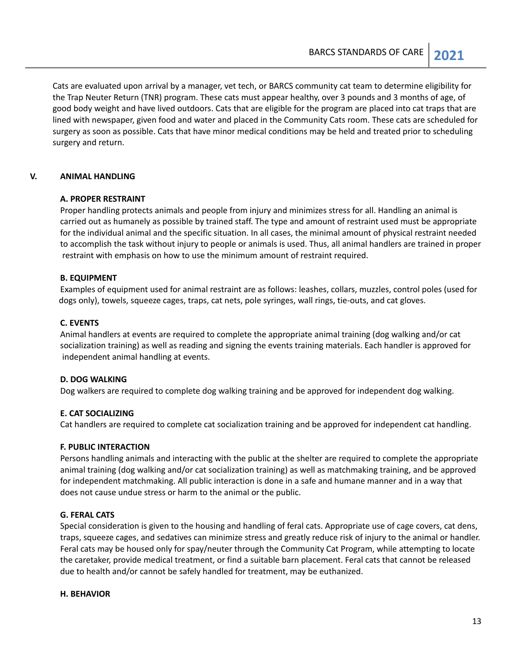Cats are evaluated upon arrival by a manager, vet tech, or BARCS community cat team to determine eligibility for the Trap Neuter Return (TNR) program. These cats must appear healthy, over 3 pounds and 3 months of age, of good body weight and have lived outdoors. Cats that are eligible for the program are placed into cat traps that are lined with newspaper, given food and water and placed in the Community Cats room. These cats are scheduled for surgery as soon as possible. Cats that have minor medical conditions may be held and treated prior to scheduling surgery and return.

#### <span id="page-12-0"></span>**V. ANIMAL HANDLING**

#### **A. PROPER RESTRAINT**

Proper handling protects animals and people from injury and minimizes stress for all. Handling an animal is carried out as humanely as possible by trained staff. The type and amount of restraint used must be appropriate for the individual animal and the specific situation. In all cases, the minimal amount of physical restraint needed to accomplish the task without injury to people or animals is used. Thus, all animal handlers are trained in proper restraint with emphasis on how to use the minimum amount of restraint required.

#### **B. EQUIPMENT**

Examples of equipment used for animal restraint are as follows: leashes, collars, muzzles, control poles (used for dogs only), towels, squeeze cages, traps, cat nets, pole syringes, wall rings, tie-outs, and cat gloves.

#### **C. EVENTS**

Animal handlers at events are required to complete the appropriate animal training (dog walking and/or cat socialization training) as well as reading and signing the events training materials. Each handler is approved for independent animal handling at events.

#### **D. DOG WALKING**

Dog walkers are required to complete dog walking training and be approved for independent dog walking.

#### **E. CAT SOCIALIZING**

Cat handlers are required to complete cat socialization training and be approved for independent cat handling.

#### **F. PUBLIC INTERACTION**

Persons handling animals and interacting with the public at the shelter are required to complete the appropriate animal training (dog walking and/or cat socialization training) as well as matchmaking training, and be approved for independent matchmaking. All public interaction is done in a safe and humane manner and in a way that does not cause undue stress or harm to the animal or the public.

#### **G. FERAL CATS**

Special consideration is given to the housing and handling of feral cats. Appropriate use of cage covers, cat dens, traps, squeeze cages, and sedatives can minimize stress and greatly reduce risk of injury to the animal or handler. Feral cats may be housed only for spay/neuter through the Community Cat Program, while attempting to locate the caretaker, provide medical treatment, or find a suitable barn placement. Feral cats that cannot be released due to health and/or cannot be safely handled for treatment, may be euthanized.

#### **H. BEHAVIOR**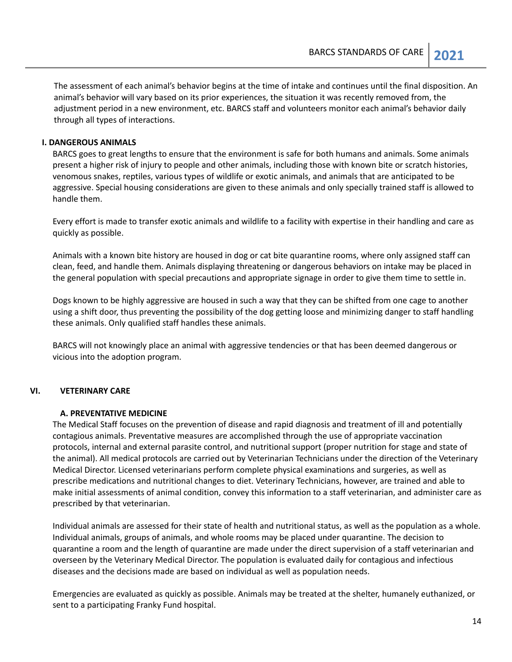The assessment of each animal's behavior begins at the time of intake and continues until the final disposition. An animal's behavior will vary based on its prior experiences, the situation it was recently removed from, the adjustment period in a new environment, etc. BARCS staff and volunteers monitor each animal's behavior daily through all types of interactions.

#### **I. DANGEROUS ANIMALS**

BARCS goes to great lengths to ensure that the environment is safe for both humans and animals. Some animals present a higher risk of injury to people and other animals, including those with known bite or scratch histories, venomous snakes, reptiles, various types of wildlife or exotic animals, and animals that are anticipated to be aggressive. Special housing considerations are given to these animals and only specially trained staff is allowed to handle them.

Every effort is made to transfer exotic animals and wildlife to a facility with expertise in their handling and care as quickly as possible.

Animals with a known bite history are housed in dog or cat bite quarantine rooms, where only assigned staff can clean, feed, and handle them. Animals displaying threatening or dangerous behaviors on intake may be placed in the general population with special precautions and appropriate signage in order to give them time to settle in.

Dogs known to be highly aggressive are housed in such a way that they can be shifted from one cage to another using a shift door, thus preventing the possibility of the dog getting loose and minimizing danger to staff handling these animals. Only qualified staff handles these animals.

BARCS will not knowingly place an animal with aggressive tendencies or that has been deemed dangerous or vicious into the adoption program.

#### <span id="page-13-0"></span>**VI. VETERINARY CARE**

#### **A. PREVENTATIVE MEDICINE**

The Medical Staff focuses on the prevention of disease and rapid diagnosis and treatment of ill and potentially contagious animals. Preventative measures are accomplished through the use of appropriate vaccination protocols, internal and external parasite control, and nutritional support (proper nutrition for stage and state of the animal). All medical protocols are carried out by Veterinarian Technicians under the direction of the Veterinary Medical Director. Licensed veterinarians perform complete physical examinations and surgeries, as well as prescribe medications and nutritional changes to diet. Veterinary Technicians, however, are trained and able to make initial assessments of animal condition, convey this information to a staff veterinarian, and administer care as prescribed by that veterinarian.

Individual animals are assessed for their state of health and nutritional status, as well as the population as a whole. Individual animals, groups of animals, and whole rooms may be placed under quarantine. The decision to quarantine a room and the length of quarantine are made under the direct supervision of a staff veterinarian and overseen by the Veterinary Medical Director. The population is evaluated daily for contagious and infectious diseases and the decisions made are based on individual as well as population needs.

Emergencies are evaluated as quickly as possible. Animals may be treated at the shelter, humanely euthanized, or sent to a participating Franky Fund hospital.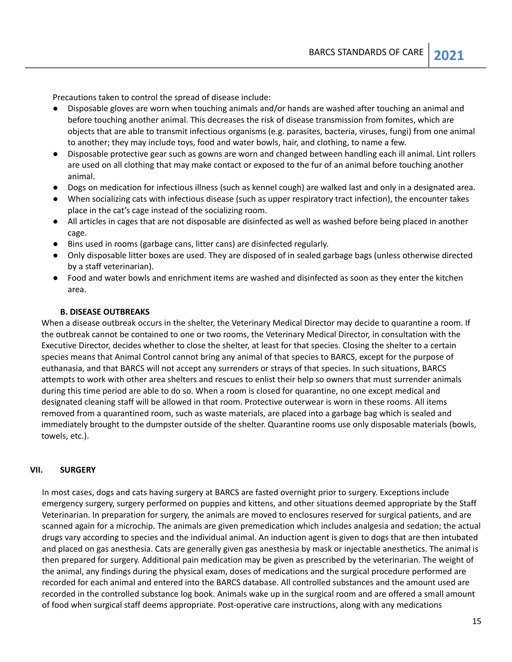Precautions taken to control the spread of disease include:

- Disposable gloves are worn when touching animals and/or hands are washed after touching an animal and before touching another animal. This decreases the risk of disease transmission from fomites, which are objects that are able to transmit infectious organisms (e.g. parasites, bacteria, viruses, fungi) from one animal to another; they may include toys, food and water bowls, hair, and clothing, to name a few.
- Disposable protective gear such as gowns are worn and changed between handling each ill animal. Lint rollers are used on all clothing that may make contact or exposed to the fur of an animal before touching another animal.
- Dogs on medication for infectious illness (such as kennel cough) are walked last and only in a designated area.
- When socializing cats with infectious disease (such as upper respiratory tract infection), the encounter takes place in the cat's cage instead of the socializing room.
- All articles in cages that are not disposable are disinfected as well as washed before being placed in another cage.
- Bins used in rooms (garbage cans, litter cans) are disinfected regularly.
- Only disposable litter boxes are used. They are disposed of in sealed garbage bags (unless otherwise directed by a staff veterinarian).
- Food and water bowls and enrichment items are washed and disinfected as soon as they enter the kitchen area.

#### **B. DISEASE OUTBREAKS**

When a disease outbreak occurs in the shelter, the Veterinary Medical Director may decide to quarantine a room. If the outbreak cannot be contained to one or two rooms, the Veterinary Medical Director, in consultation with the Executive Director, decides whether to close the shelter, at least for that species. Closing the shelter to a certain species means that Animal Control cannot bring any animal of that species to BARCS, except for the purpose of euthanasia, and that BARCS will not accept any surrenders or strays of that species. In such situations, BARCS attempts to work with other area shelters and rescues to enlist their help so owners that must surrender animals during this time period are able to do so. When a room is closed for quarantine, no one except medical and designated cleaning staff will be allowed in that room. Protective outerwear is worn in these rooms. All items removed from a quarantined room, such as waste materials, are placed into a garbage bag which is sealed and immediately brought to the dumpster outside of the shelter. Quarantine rooms use only disposable materials (bowls, towels, etc.).

#### <span id="page-14-0"></span>**VII. SURGERY**

In most cases, dogs and cats having surgery at BARCS are fasted overnight prior to surgery. Exceptions include emergency surgery, surgery performed on puppies and kittens, and other situations deemed appropriate by the Staff Veterinarian. In preparation for surgery, the animals are moved to enclosures reserved for surgical patients, and are scanned again for a microchip. The animals are given premedication which includes analgesia and sedation; the actual drugs vary according to species and the individual animal. An induction agent is given to dogs that are then intubated and placed on gas anesthesia. Cats are generally given gas anesthesia by mask or injectable anesthetics. The animal is then prepared for surgery. Additional pain medication may be given as prescribed by the veterinarian. The weight of the animal, any findings during the physical exam, doses of medications and the surgical procedure performed are recorded for each animal and entered into the BARCS database. All controlled substances and the amount used are recorded in the controlled substance log book. Animals wake up in the surgical room and are offered a small amount of food when surgical staff deems appropriate. Post-operative care instructions, along with any medications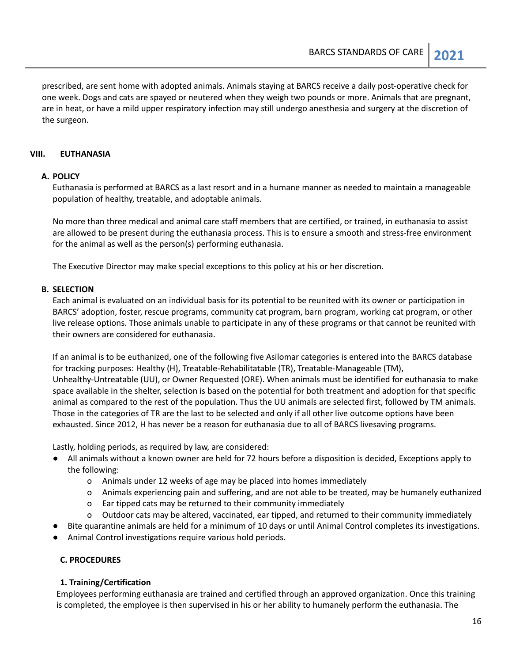prescribed, are sent home with adopted animals. Animals staying at BARCS receive a daily post-operative check for one week. Dogs and cats are spayed or neutered when they weigh two pounds or more. Animals that are pregnant, are in heat, or have a mild upper respiratory infection may still undergo anesthesia and surgery at the discretion of the surgeon.

#### <span id="page-15-0"></span>**VIII. EUTHANASIA**

#### **A. POLICY**

Euthanasia is performed at BARCS as a last resort and in a humane manner as needed to maintain a manageable population of healthy, treatable, and adoptable animals.

No more than three medical and animal care staff members that are certified, or trained, in euthanasia to assist are allowed to be present during the euthanasia process. This is to ensure a smooth and stress-free environment for the animal as well as the person(s) performing euthanasia.

The Executive Director may make special exceptions to this policy at his or her discretion.

#### **B. SELECTION**

Each animal is evaluated on an individual basis for its potential to be reunited with its owner or participation in BARCS' adoption, foster, rescue programs, community cat program, barn program, working cat program, or other live release options. Those animals unable to participate in any of these programs or that cannot be reunited with their owners are considered for euthanasia.

If an animal is to be euthanized, one of the following five Asilomar categories is entered into the BARCS database for tracking purposes: Healthy (H), Treatable-Rehabilitatable (TR), Treatable-Manageable (TM), Unhealthy-Untreatable (UU), or Owner Requested (ORE). When animals must be identified for euthanasia to make space available in the shelter, selection is based on the potential for both treatment and adoption for that specific animal as compared to the rest of the population. Thus the UU animals are selected first, followed by TM animals. Those in the categories of TR are the last to be selected and only if all other live outcome options have been exhausted. Since 2012, H has never be a reason for euthanasia due to all of BARCS livesaving programs.

Lastly, holding periods, as required by law, are considered:

- All animals without a known owner are held for 72 hours before a disposition is decided, Exceptions apply to the following:
	- o Animals under 12 weeks of age may be placed into homes immediately
	- o Animals experiencing pain and suffering, and are not able to be treated, may be humanely euthanized
	- o Ear tipped cats may be returned to their community immediately
	- o Outdoor cats may be altered, vaccinated, ear tipped, and returned to their community immediately
- Bite quarantine animals are held for a minimum of 10 days or until Animal Control completes its investigations.
- Animal Control investigations require various hold periods.

#### **C. PROCEDURES**

#### **1. Training/Certification**

Employees performing euthanasia are trained and certified through an approved organization. Once this training is completed, the employee is then supervised in his or her ability to humanely perform the euthanasia. The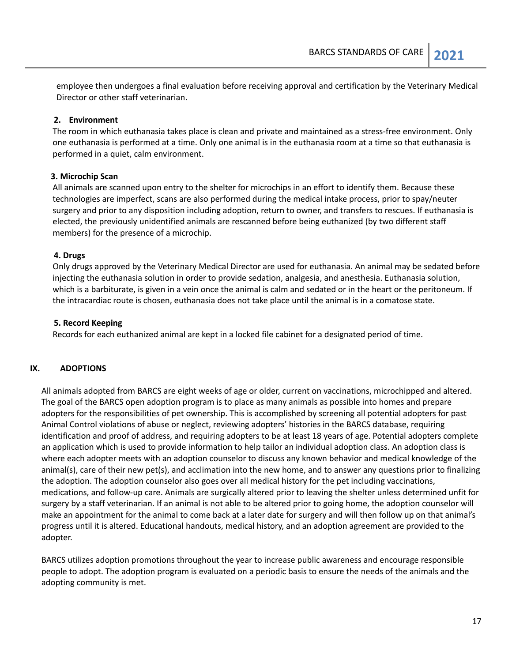employee then undergoes a final evaluation before receiving approval and certification by the Veterinary Medical Director or other staff veterinarian.

#### **2. Environment**

The room in which euthanasia takes place is clean and private and maintained as a stress-free environment. Only one euthanasia is performed at a time. Only one animal is in the euthanasia room at a time so that euthanasia is performed in a quiet, calm environment.

#### **3. Microchip Scan**

All animals are scanned upon entry to the shelter for microchips in an effort to identify them. Because these technologies are imperfect, scans are also performed during the medical intake process, prior to spay/neuter surgery and prior to any disposition including adoption, return to owner, and transfers to rescues. If euthanasia is elected, the previously unidentified animals are rescanned before being euthanized (by two different staff members) for the presence of a microchip.

#### **4. Drugs**

Only drugs approved by the Veterinary Medical Director are used for euthanasia. An animal may be sedated before injecting the euthanasia solution in order to provide sedation, analgesia, and anesthesia. Euthanasia solution, which is a barbiturate, is given in a vein once the animal is calm and sedated or in the heart or the peritoneum. If the intracardiac route is chosen, euthanasia does not take place until the animal is in a comatose state.

#### **5. Record Keeping**

Records for each euthanized animal are kept in a locked file cabinet for a designated period of time.

#### <span id="page-16-0"></span>**IX. ADOPTIONS**

All animals adopted from BARCS are eight weeks of age or older, current on vaccinations, microchipped and altered. The goal of the BARCS open adoption program is to place as many animals as possible into homes and prepare adopters for the responsibilities of pet ownership. This is accomplished by screening all potential adopters for past Animal Control violations of abuse or neglect, reviewing adopters' histories in the BARCS database, requiring identification and proof of address, and requiring adopters to be at least 18 years of age. Potential adopters complete an application which is used to provide information to help tailor an individual adoption class. An adoption class is where each adopter meets with an adoption counselor to discuss any known behavior and medical knowledge of the animal(s), care of their new pet(s), and acclimation into the new home, and to answer any questions prior to finalizing the adoption. The adoption counselor also goes over all medical history for the pet including vaccinations, medications, and follow-up care. Animals are surgically altered prior to leaving the shelter unless determined unfit for surgery by a staff veterinarian. If an animal is not able to be altered prior to going home, the adoption counselor will make an appointment for the animal to come back at a later date for surgery and will then follow up on that animal's progress until it is altered. Educational handouts, medical history, and an adoption agreement are provided to the adopter.

BARCS utilizes adoption promotions throughout the year to increase public awareness and encourage responsible people to adopt. The adoption program is evaluated on a periodic basis to ensure the needs of the animals and the adopting community is met.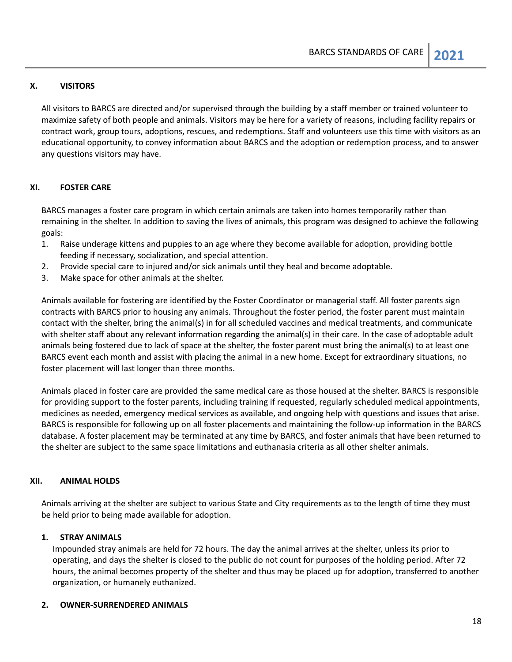#### <span id="page-17-0"></span>**X. VISITORS**

All visitors to BARCS are directed and/or supervised through the building by a staff member or trained volunteer to maximize safety of both people and animals. Visitors may be here for a variety of reasons, including facility repairs or contract work, group tours, adoptions, rescues, and redemptions. Staff and volunteers use this time with visitors as an educational opportunity, to convey information about BARCS and the adoption or redemption process, and to answer any questions visitors may have.

#### <span id="page-17-1"></span>**XI. FOSTER CARE**

BARCS manages a foster care program in which certain animals are taken into homes temporarily rather than remaining in the shelter. In addition to saving the lives of animals, this program was designed to achieve the following goals:

- 1. Raise underage kittens and puppies to an age where they become available for adoption, providing bottle feeding if necessary, socialization, and special attention.
- 2. Provide special care to injured and/or sick animals until they heal and become adoptable.
- 3. Make space for other animals at the shelter.

Animals available for fostering are identified by the Foster Coordinator or managerial staff. All foster parents sign contracts with BARCS prior to housing any animals. Throughout the foster period, the foster parent must maintain contact with the shelter, bring the animal(s) in for all scheduled vaccines and medical treatments, and communicate with shelter staff about any relevant information regarding the animal(s) in their care. In the case of adoptable adult animals being fostered due to lack of space at the shelter, the foster parent must bring the animal(s) to at least one BARCS event each month and assist with placing the animal in a new home. Except for extraordinary situations, no foster placement will last longer than three months.

Animals placed in foster care are provided the same medical care as those housed at the shelter. BARCS is responsible for providing support to the foster parents, including training if requested, regularly scheduled medical appointments, medicines as needed, emergency medical services as available, and ongoing help with questions and issues that arise. BARCS is responsible for following up on all foster placements and maintaining the follow-up information in the BARCS database. A foster placement may be terminated at any time by BARCS, and foster animals that have been returned to the shelter are subject to the same space limitations and euthanasia criteria as all other shelter animals.

#### <span id="page-17-2"></span>**XII. ANIMAL HOLDS**

Animals arriving at the shelter are subject to various State and City requirements as to the length of time they must be held prior to being made available for adoption.

#### **1. STRAY ANIMALS**

Impounded stray animals are held for 72 hours. The day the animal arrives at the shelter, unless its prior to operating, and days the shelter is closed to the public do not count for purposes of the holding period. After 72 hours, the animal becomes property of the shelter and thus may be placed up for adoption, transferred to another organization, or humanely euthanized.

#### **2. OWNER-SURRENDERED ANIMALS**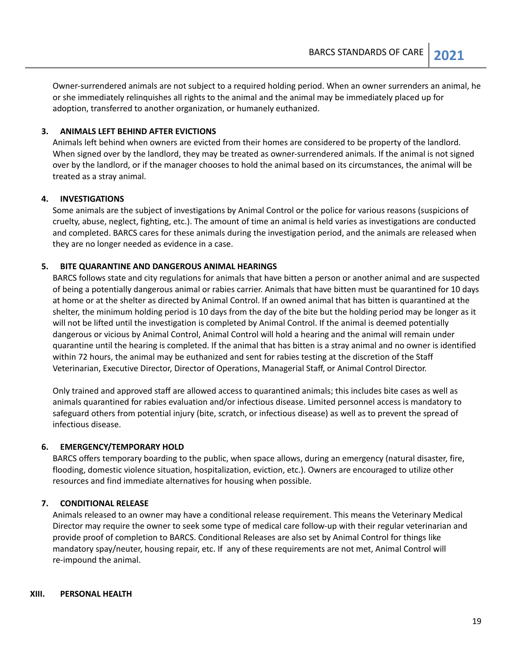Owner-surrendered animals are not subject to a required holding period. When an owner surrenders an animal, he or she immediately relinquishes all rights to the animal and the animal may be immediately placed up for adoption, transferred to another organization, or humanely euthanized.

#### **3. ANIMALS LEFT BEHIND AFTER EVICTIONS**

Animals left behind when owners are evicted from their homes are considered to be property of the landlord. When signed over by the landlord, they may be treated as owner-surrendered animals. If the animal is not signed over by the landlord, or if the manager chooses to hold the animal based on its circumstances, the animal will be treated as a stray animal.

#### **4. INVESTIGATIONS**

Some animals are the subject of investigations by Animal Control or the police for various reasons (suspicions of cruelty, abuse, neglect, fighting, etc.). The amount of time an animal is held varies as investigations are conducted and completed. BARCS cares for these animals during the investigation period, and the animals are released when they are no longer needed as evidence in a case.

#### **5. BITE QUARANTINE AND DANGEROUS ANIMAL HEARINGS**

BARCS follows state and city regulations for animals that have bitten a person or another animal and are suspected of being a potentially dangerous animal or rabies carrier. Animals that have bitten must be quarantined for 10 days at home or at the shelter as directed by Animal Control. If an owned animal that has bitten is quarantined at the shelter, the minimum holding period is 10 days from the day of the bite but the holding period may be longer as it will not be lifted until the investigation is completed by Animal Control. If the animal is deemed potentially dangerous or vicious by Animal Control, Animal Control will hold a hearing and the animal will remain under quarantine until the hearing is completed. If the animal that has bitten is a stray animal and no owner is identified within 72 hours, the animal may be euthanized and sent for rabies testing at the discretion of the Staff Veterinarian, Executive Director, Director of Operations, Managerial Staff, or Animal Control Director.

Only trained and approved staff are allowed access to quarantined animals; this includes bite cases as well as animals quarantined for rabies evaluation and/or infectious disease. Limited personnel access is mandatory to safeguard others from potential injury (bite, scratch, or infectious disease) as well as to prevent the spread of infectious disease.

#### **6. EMERGENCY/TEMPORARY HOLD**

BARCS offers temporary boarding to the public, when space allows, during an emergency (natural disaster, fire, flooding, domestic violence situation, hospitalization, eviction, etc.). Owners are encouraged to utilize other resources and find immediate alternatives for housing when possible.

#### **7. CONDITIONAL RELEASE**

Animals released to an owner may have a conditional release requirement. This means the Veterinary Medical Director may require the owner to seek some type of medical care follow-up with their regular veterinarian and provide proof of completion to BARCS. Conditional Releases are also set by Animal Control for things like mandatory spay/neuter, housing repair, etc. If any of these requirements are not met, Animal Control will re-impound the animal.

#### <span id="page-18-0"></span>**XIII. PERSONAL HEALTH**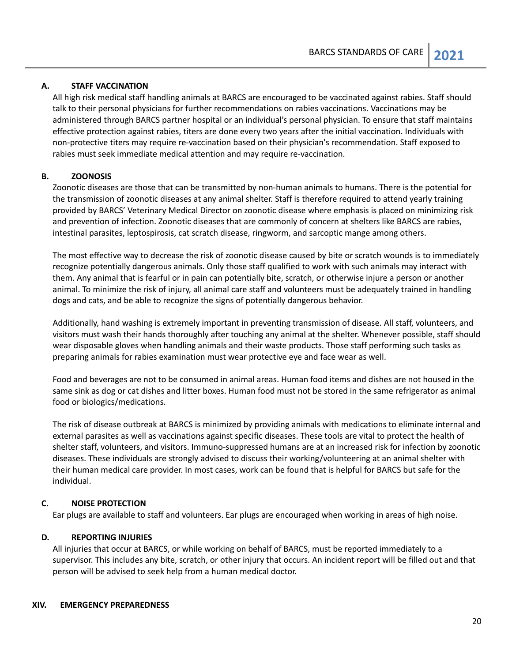#### **A. STAFF VACCINATION**

All high risk medical staff handling animals at BARCS are encouraged to be vaccinated against rabies. Staff should talk to their personal physicians for further recommendations on rabies vaccinations. Vaccinations may be administered through BARCS partner hospital or an individual's personal physician. To ensure that staff maintains effective protection against rabies, titers are done every two years after the initial vaccination. Individuals with non-protective titers may require re-vaccination based on their physician's recommendation. Staff exposed to rabies must seek immediate medical attention and may require re-vaccination.

#### **B. ZOONOSIS**

Zoonotic diseases are those that can be transmitted by non-human animals to humans. There is the potential for the transmission of zoonotic diseases at any animal shelter. Staff is therefore required to attend yearly training provided by BARCS' Veterinary Medical Director on zoonotic disease where emphasis is placed on minimizing risk and prevention of infection. Zoonotic diseases that are commonly of concern at shelters like BARCS are rabies, intestinal parasites, leptospirosis, cat scratch disease, ringworm, and sarcoptic mange among others.

The most effective way to decrease the risk of zoonotic disease caused by bite or scratch wounds is to immediately recognize potentially dangerous animals. Only those staff qualified to work with such animals may interact with them. Any animal that is fearful or in pain can potentially bite, scratch, or otherwise injure a person or another animal. To minimize the risk of injury, all animal care staff and volunteers must be adequately trained in handling dogs and cats, and be able to recognize the signs of potentially dangerous behavior.

Additionally, hand washing is extremely important in preventing transmission of disease. All staff, volunteers, and visitors must wash their hands thoroughly after touching any animal at the shelter. Whenever possible, staff should wear disposable gloves when handling animals and their waste products. Those staff performing such tasks as preparing animals for rabies examination must wear protective eye and face wear as well.

Food and beverages are not to be consumed in animal areas. Human food items and dishes are not housed in the same sink as dog or cat dishes and litter boxes. Human food must not be stored in the same refrigerator as animal food or biologics/medications.

The risk of disease outbreak at BARCS is minimized by providing animals with medications to eliminate internal and external parasites as well as vaccinations against specific diseases. These tools are vital to protect the health of shelter staff, volunteers, and visitors. Immuno-suppressed humans are at an increased risk for infection by zoonotic diseases. These individuals are strongly advised to discuss their working/volunteering at an animal shelter with their human medical care provider. In most cases, work can be found that is helpful for BARCS but safe for the individual.

#### **C. NOISE PROTECTION**

Ear plugs are available to staff and volunteers. Ear plugs are encouraged when working in areas of high noise.

#### **D. REPORTING INJURIES**

<span id="page-19-0"></span>All injuries that occur at BARCS, or while working on behalf of BARCS, must be reported immediately to a supervisor. This includes any bite, scratch, or other injury that occurs. An incident report will be filled out and that person will be advised to seek help from a human medical doctor.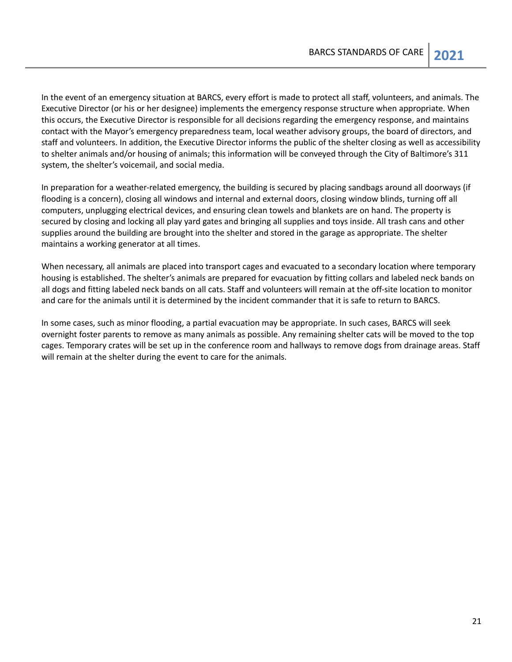In the event of an emergency situation at BARCS, every effort is made to protect all staff, volunteers, and animals. The Executive Director (or his or her designee) implements the emergency response structure when appropriate. When this occurs, the Executive Director is responsible for all decisions regarding the emergency response, and maintains contact with the Mayor's emergency preparedness team, local weather advisory groups, the board of directors, and staff and volunteers. In addition, the Executive Director informs the public of the shelter closing as well as accessibility to shelter animals and/or housing of animals; this information will be conveyed through the City of Baltimore's 311 system, the shelter's voicemail, and social media.

In preparation for a weather-related emergency, the building is secured by placing sandbags around all doorways (if flooding is a concern), closing all windows and internal and external doors, closing window blinds, turning off all computers, unplugging electrical devices, and ensuring clean towels and blankets are on hand. The property is secured by closing and locking all play yard gates and bringing all supplies and toys inside. All trash cans and other supplies around the building are brought into the shelter and stored in the garage as appropriate. The shelter maintains a working generator at all times.

When necessary, all animals are placed into transport cages and evacuated to a secondary location where temporary housing is established. The shelter's animals are prepared for evacuation by fitting collars and labeled neck bands on all dogs and fitting labeled neck bands on all cats. Staff and volunteers will remain at the off-site location to monitor and care for the animals until it is determined by the incident commander that it is safe to return to BARCS.

In some cases, such as minor flooding, a partial evacuation may be appropriate. In such cases, BARCS will seek overnight foster parents to remove as many animals as possible. Any remaining shelter cats will be moved to the top cages. Temporary crates will be set up in the conference room and hallways to remove dogs from drainage areas. Staff will remain at the shelter during the event to care for the animals.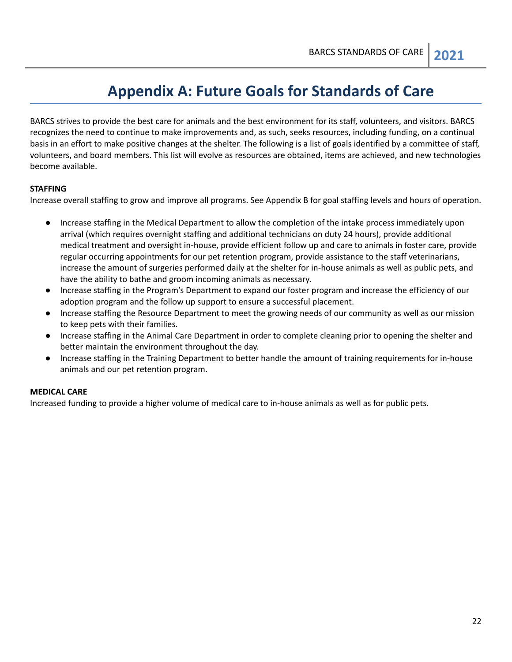## **Appendix A: Future Goals for Standards of Care**

<span id="page-21-0"></span>BARCS strives to provide the best care for animals and the best environment for its staff, volunteers, and visitors. BARCS recognizes the need to continue to make improvements and, as such, seeks resources, including funding, on a continual basis in an effort to make positive changes at the shelter. The following is a list of goals identified by a committee of staff, volunteers, and board members. This list will evolve as resources are obtained, items are achieved, and new technologies become available.

#### **STAFFING**

Increase overall staffing to grow and improve all programs. See Appendix B for goal staffing levels and hours of operation.

- Increase staffing in the Medical Department to allow the completion of the intake process immediately upon arrival (which requires overnight staffing and additional technicians on duty 24 hours), provide additional medical treatment and oversight in-house, provide efficient follow up and care to animals in foster care, provide regular occurring appointments for our pet retention program, provide assistance to the staff veterinarians, increase the amount of surgeries performed daily at the shelter for in-house animals as well as public pets, and have the ability to bathe and groom incoming animals as necessary.
- Increase staffing in the Program's Department to expand our foster program and increase the efficiency of our adoption program and the follow up support to ensure a successful placement.
- Increase staffing the Resource Department to meet the growing needs of our community as well as our mission to keep pets with their families.
- Increase staffing in the Animal Care Department in order to complete cleaning prior to opening the shelter and better maintain the environment throughout the day.
- Increase staffing in the Training Department to better handle the amount of training requirements for in-house animals and our pet retention program.

### **MEDICAL CARE**

Increased funding to provide a higher volume of medical care to in-house animals as well as for public pets.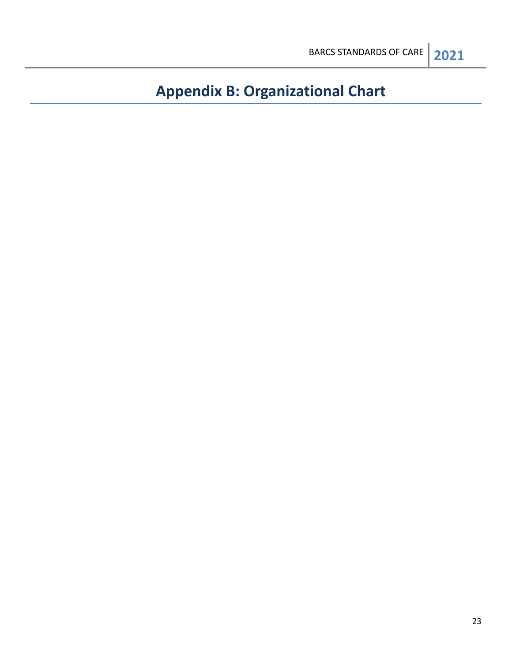## <span id="page-22-0"></span>**Appendix B: Organizational Chart**